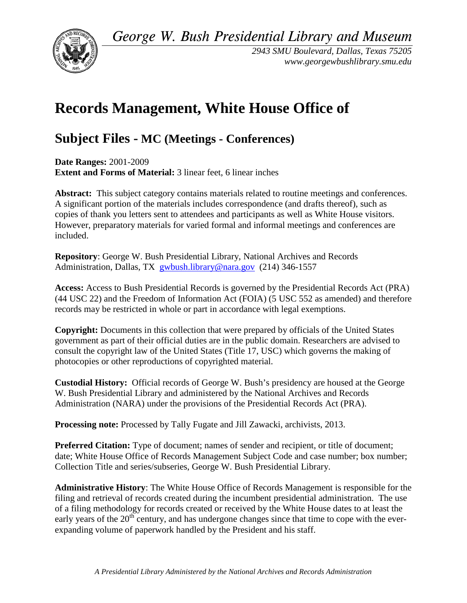*George W. Bush Presidential Library and Museum* 



*2943 SMU Boulevard, Dallas, Texas 75205 <www.georgewbushlibrary.smu.edu>*

# **Records Management, White House Office of**

# **Subject Files - MC (Meetings - Conferences)**

 **Date Ranges:** 2001-2009 **Extent and Forms of Material:** 3 linear feet, 6 linear inches

 **Abstract:** This subject category contains materials related to routine meetings and conferences. However, preparatory materials for varied formal and informal meetings and conferences are A significant portion of the materials includes correspondence (and drafts thereof), such as copies of thank you letters sent to attendees and participants as well as White House visitors. included.

 **Repository**: George W. Bush Presidential Library, National Archives and Records Administration, Dallas, TX [gwbush.library@nara.gov](mailto:gwbush.library@nara.gov) (214) 346-1557

 **Access:** Access to Bush Presidential Records is governed by the Presidential Records Act (PRA) (44 USC 22) and the Freedom of Information Act (FOIA) (5 USC 552 as amended) and therefore records may be restricted in whole or part in accordance with legal exemptions.

**Copyright:** Documents in this collection that were prepared by officials of the United States government as part of their official duties are in the public domain. Researchers are advised to consult the copyright law of the United States (Title 17, USC) which governs the making of photocopies or other reproductions of copyrighted material.

 **Custodial History:** Official records of George W. Bush's presidency are housed at the George Administration (NARA) under the provisions of the Presidential Records Act (PRA). W. Bush Presidential Library and administered by the National Archives and Records

**Processing note:** Processed by Tally Fugate and Jill Zawacki, archivists, 2013.

**Preferred Citation:** Type of document; names of sender and recipient, or title of document; date; White House Office of Records Management Subject Code and case number; box number; Collection Title and series/subseries, George W. Bush Presidential Library.

**Administrative History**: The White House Office of Records Management is responsible for the filing and retrieval of records created during the incumbent presidential administration. The use of a filing methodology for records created or received by the White House dates to at least the early years of the  $20<sup>th</sup>$  century, and has undergone changes since that time to cope with the everexpanding volume of paperwork handled by the President and his staff.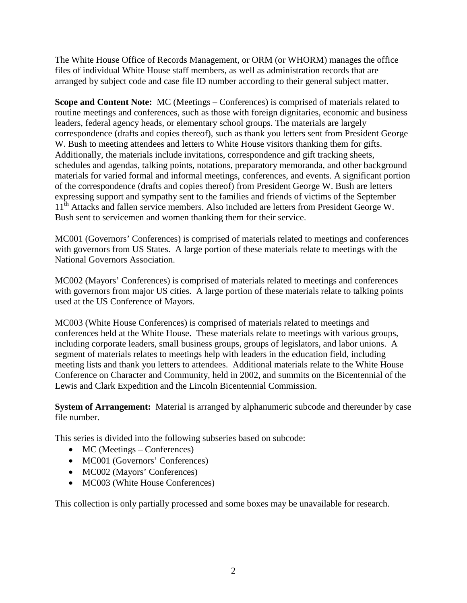The White House Office of Records Management, or ORM (or WHORM) manages the office files of individual White House staff members, as well as administration records that are arranged by subject code and case file ID number according to their general subject matter.

 leaders, federal agency heads, or elementary school groups. The materials are largely correspondence (drafts and copies thereof), such as thank you letters sent from President George W. Bush to meeting attendees and letters to White House visitors thanking them for gifts. of the correspondence (drafts and copies thereof) from President George W. Bush are letters expressing support and sympathy sent to the families and friends of victims of the September 11<sup>th</sup> Attacks and fallen service members. Also included are letters from President George W. Bush sent to servicemen and women thanking them for their service. **Scope and Content Note:** MC (Meetings – Conferences) is comprised of materials related to routine meetings and conferences, such as those with foreign dignitaries, economic and business Additionally, the materials include invitations, correspondence and gift tracking sheets, schedules and agendas, talking points, notations, preparatory memoranda, and other background materials for varied formal and informal meetings, conferences, and events. A significant portion

 MC001 (Governors' Conferences) is comprised of materials related to meetings and conferences with governors from US States. A large portion of these materials relate to meetings with the National Governors Association.

 MC002 (Mayors' Conferences) is comprised of materials related to meetings and conferences with governors from major US cities. A large portion of these materials relate to talking points used at the US Conference of Mayors.

 MC003 (White House Conferences) is comprised of materials related to meetings and segment of materials relates to meetings help with leaders in the education field, including meeting lists and thank you letters to attendees. Additional materials relate to the White House Lewis and Clark Expedition and the Lincoln Bicentennial Commission. conferences held at the White House. These materials relate to meetings with various groups, including corporate leaders, small business groups, groups of legislators, and labor unions. A Conference on Character and Community, held in 2002, and summits on the Bicentennial of the

**System of Arrangement:** Material is arranged by alphanumeric subcode and thereunder by case file number.

This series is divided into the following subseries based on subcode:

- MC (Meetings Conferences)
- MC001 (Governors' Conferences)
- MC002 (Mayors' Conferences)
- MC003 (White House Conferences)

This collection is only partially processed and some boxes may be unavailable for research.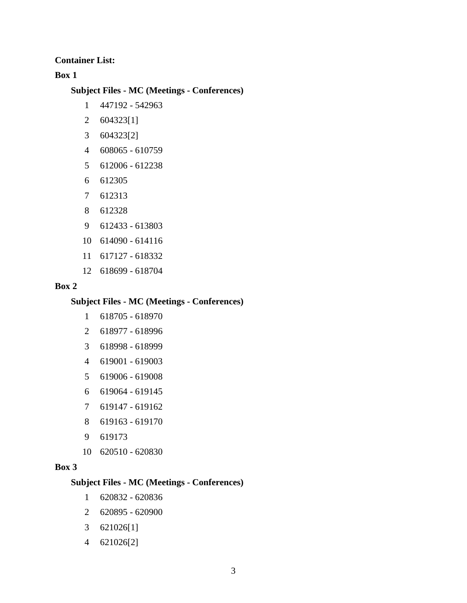**Container List:** 

**Box 1** 

#### **Subject Files - MC (Meetings - Conferences)**

- 1 447192 542963
- 2 604323[1]
- 3 604323[2]
- 4 608065 610759
- 5 612006 612238
- 6 612305
- 7 612313
- 8 612328
- 9 612433 613803
- 10 614090 614116
- 11 617127 618332
- 12 618699 618704

#### **Box 2**

#### **Subject Files - MC (Meetings - Conferences)**

- 1 618705 618970
- 2 618977 618996
- 3 618998 618999
- 4 619001 619003
- 5 619006 619008
- 6 619064 619145
- 7 619147 619162
- 8 619163 619170
- 9 619173
- 10 620510 620830

#### **Box 3**

#### **Subject Files - MC (Meetings - Conferences)**

- 1 620832 620836
- 2 620895 620900
- 3 621026[1]
- 4 621026[2]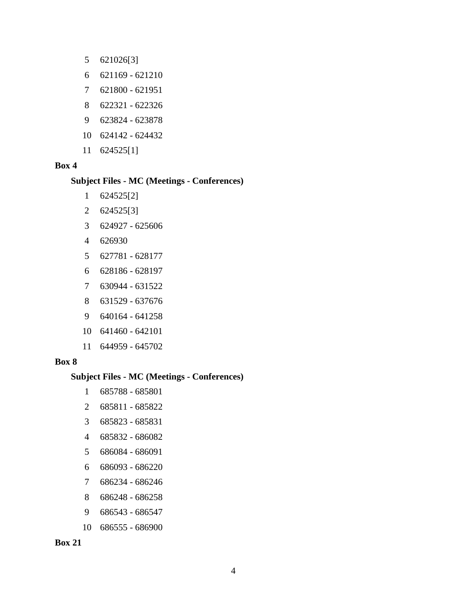- 5 621026[3]
- 6 621169 621210
- 7 621800 621951
- 8 622321 622326
- 9 623824 623878
- 10 624142 624432
- 11 624525[1]

#### **Box 4**

#### **Subject Files - MC (Meetings - Conferences)**

- 1 624525[2]
- 2 624525[3]
- 3 624927 625606
- 4 626930
- 5 627781 628177
- 6 628186 628197
- 7 630944 631522
- 8 631529 637676
- 9 640164 641258
- 10 641460 642101
- 11 644959 645702

#### **Box 8**

#### **Subject Files - MC (Meetings - Conferences)**

- 1 685788 685801
- 2 685811 685822
- 3 685823 685831
- 4 685832 686082
- 5 686084 686091
- 6 686093 686220
- 7 686234 686246
- 8 686248 686258
- 9 686543 686547
- 10 686555 686900

**Box 21**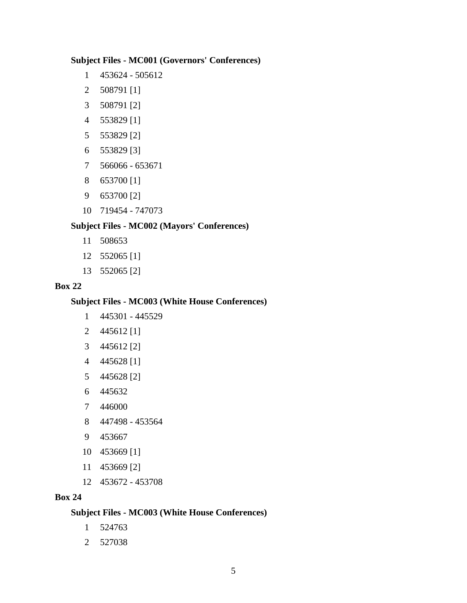#### **Subject Files - MC001 (Governors' Conferences)**

- 1 453624 505612
- 2 508791 [1]
- 3 508791 [2]
- 4 553829 [1]
- 5 553829 [2]
- 6 553829 [3]
- 7 566066 653671
- 8 653700 [1]
- 9 653700 [2]
- 10 719454 747073

# **Subject Files - MC002 (Mayors' Conferences)**

- 11 508653
- 12 552065 [1]
- 13 552065 [2]

#### **Box 22**

## **Subject Files - MC003 (White House Conferences)**

- 1 445301 445529
- 2 445612 [1]
- 3 445612 [2]
- 4 445628 [1]
- 5 445628 [2]
- 6 445632
- 7 446000
- 8 447498 453564
- 9 453667
- 10 453669 [1]
- 11 453669 [2]
- 12 453672 453708

#### **Box 24**

### **Subject Files - MC003 (White House Conferences)**

- 1 524763
- 2 527038